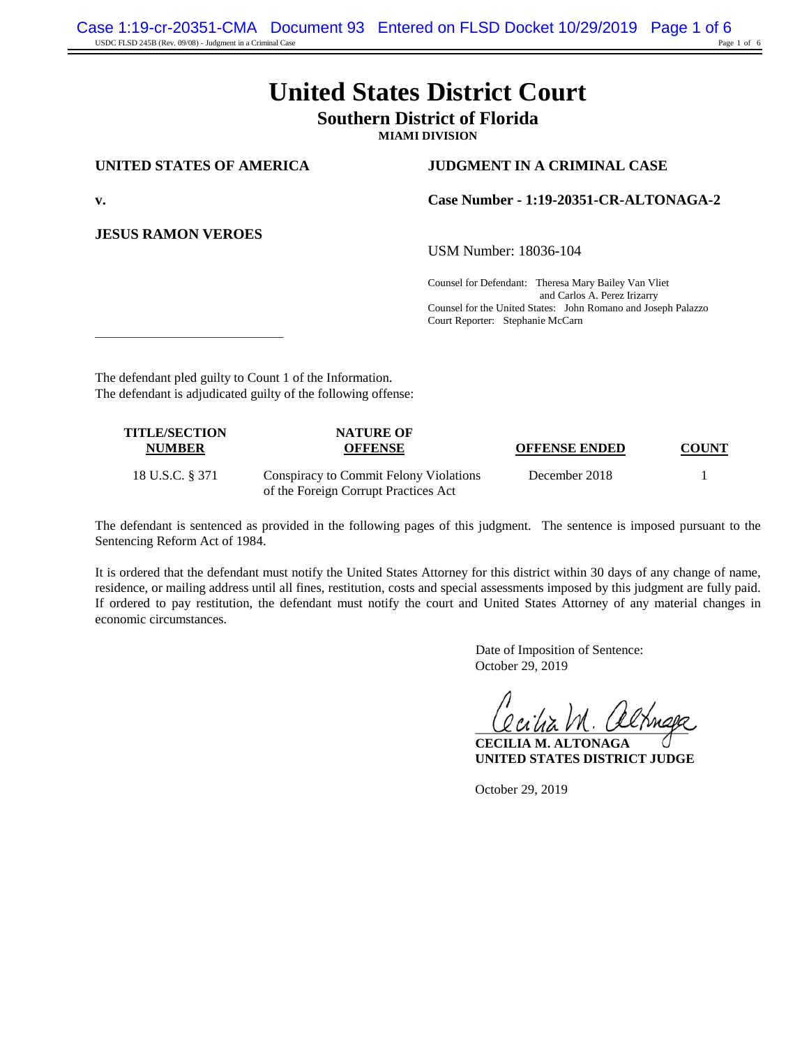# **United States District Court**

## **Southern District of Florida**

**MIAMI DIVISION**

**JESUS RAMON VEROES**

#### **UNITED STATES OF AMERICA JUDGMENT IN A CRIMINAL CASE**

**v. Case Number - 1:19-20351-CR-ALTONAGA-2**

USM Number: 18036-104

Counsel for Defendant: Theresa Mary Bailey Van Vliet and Carlos A. Perez Irizarry Counsel for the United States: John Romano and Joseph Palazzo Court Reporter: Stephanie McCarn

\_\_\_\_\_\_\_\_\_\_\_\_\_\_\_\_\_\_\_\_\_\_\_\_\_\_\_\_\_\_\_\_\_\_\_

The defendant pled guilty to Count 1 of the Information. The defendant is adjudicated guilty of the following offense:

| <b>TITLE/SECTION</b><br><b>NUMBER</b> | <b>NATURE OF</b><br><b>OFFENSE</b>                                             | <b>OFFENSE ENDED</b> | <b>COUNT</b> |
|---------------------------------------|--------------------------------------------------------------------------------|----------------------|--------------|
| 18 U.S.C. § 371                       | Conspiracy to Commit Felony Violations<br>of the Foreign Corrupt Practices Act | December 2018        |              |

The defendant is sentenced as provided in the following pages of this judgment. The sentence is imposed pursuant to the Sentencing Reform Act of 1984.

It is ordered that the defendant must notify the United States Attorney for this district within 30 days of any change of name, residence, or mailing address until all fines, restitution, costs and special assessments imposed by this judgment are fully paid. If ordered to pay restitution, the defendant must notify the court and United States Attorney of any material changes in economic circumstances.

> Date of Imposition of Sentence: October 29, 2019

 $U$ una  $V$ n. Oximiza

**CECILIA M. ALTONAGA UNITED STATES DISTRICT JUDGE**

October 29, 2019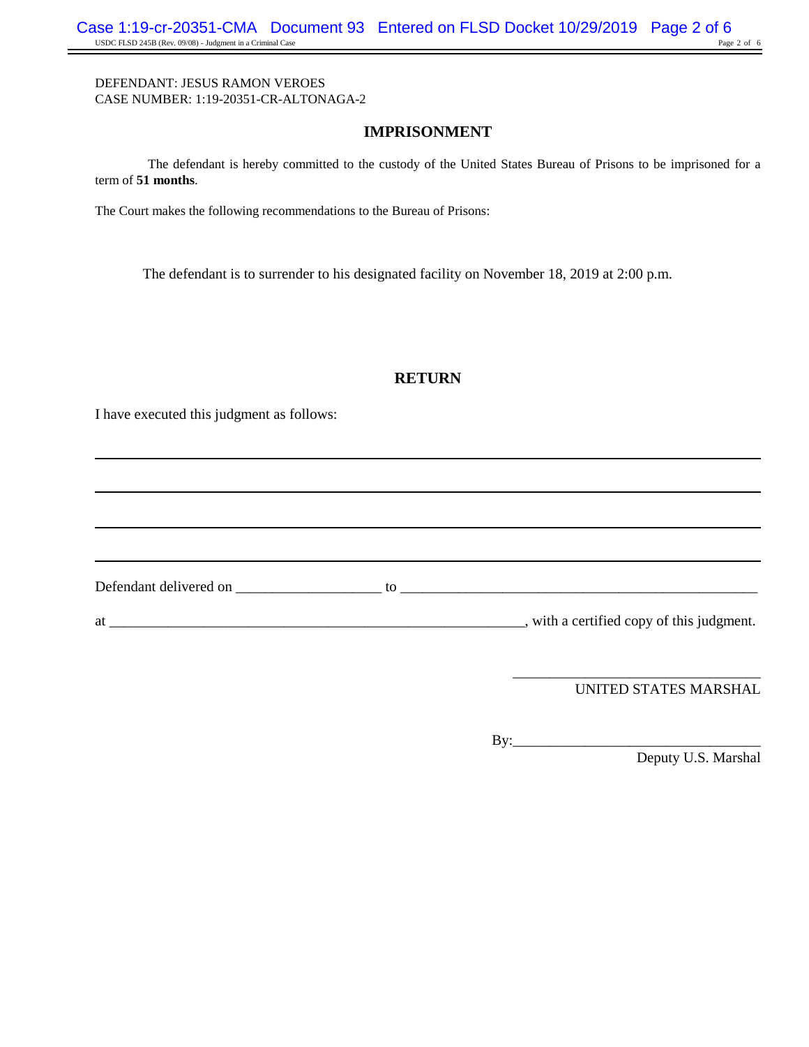## **IMPRISONMENT**

The defendant is hereby committed to the custody of the United States Bureau of Prisons to be imprisoned for a term of **51 months**.

The Court makes the following recommendations to the Bureau of Prisons:

The defendant is to surrender to his designated facility on November 18, 2019 at 2:00 p.m.

## **RETURN**

I have executed this judgment as follows:

at \_\_\_\_\_\_\_\_\_\_\_\_\_\_\_\_\_\_\_\_\_\_\_\_\_\_\_\_\_\_\_\_\_\_\_\_\_\_\_\_\_\_\_\_\_\_\_\_\_\_\_\_\_\_\_\_\_, with a certified copy of this judgment.

Defendant delivered on \_\_\_\_\_\_\_\_\_\_\_\_\_\_\_\_\_\_\_\_ to \_\_\_\_\_\_\_\_\_\_\_\_\_\_\_\_\_\_\_\_\_\_\_\_\_\_\_\_\_\_\_\_\_\_\_\_\_\_\_\_\_\_\_\_\_\_\_\_\_

UNITED STATES MARSHAL

By:\_\_\_\_\_\_\_\_\_\_\_\_\_\_\_\_\_\_\_\_\_\_\_\_\_\_\_\_\_\_\_\_\_\_ Deputy U.S. Marshal

\_\_\_\_\_\_\_\_\_\_\_\_\_\_\_\_\_\_\_\_\_\_\_\_\_\_\_\_\_\_\_\_\_\_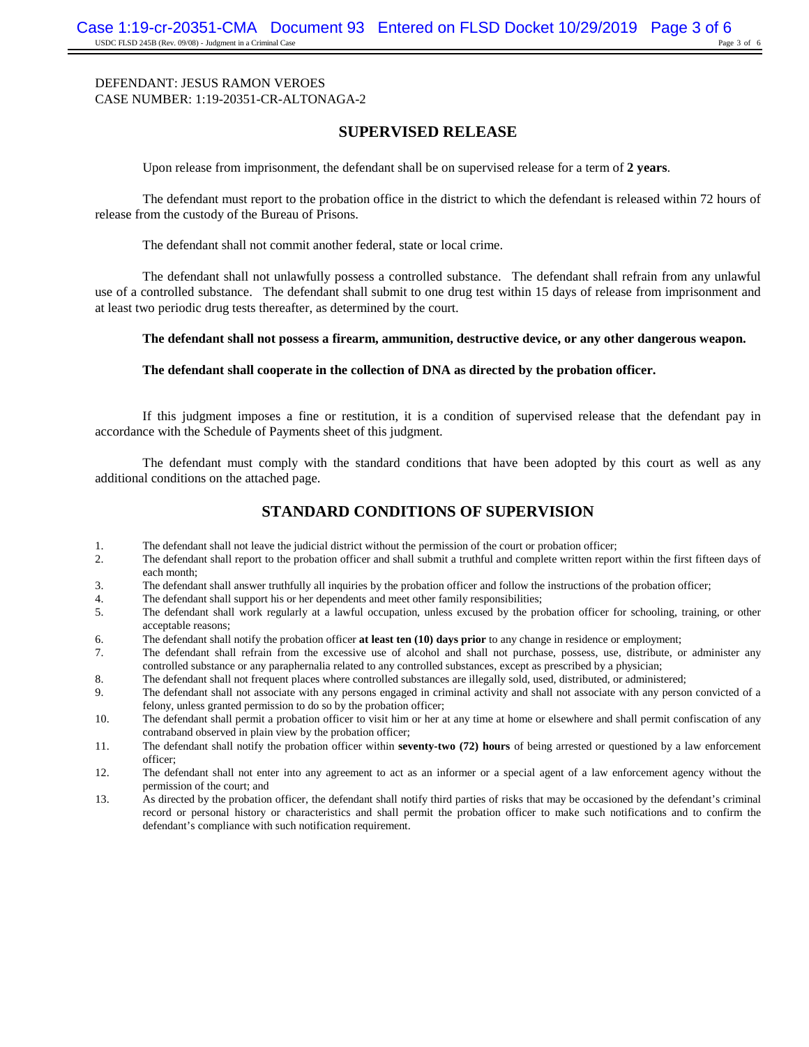#### **SUPERVISED RELEASE**

Upon release from imprisonment, the defendant shall be on supervised release for a term of **2 years**.

The defendant must report to the probation office in the district to which the defendant is released within 72 hours of release from the custody of the Bureau of Prisons.

The defendant shall not commit another federal, state or local crime.

The defendant shall not unlawfully possess a controlled substance. The defendant shall refrain from any unlawful use of a controlled substance. The defendant shall submit to one drug test within 15 days of release from imprisonment and at least two periodic drug tests thereafter, as determined by the court.

#### **The defendant shall not possess a firearm, ammunition, destructive device, or any other dangerous weapon.**

#### **The defendant shall cooperate in the collection of DNA as directed by the probation officer.**

If this judgment imposes a fine or restitution, it is a condition of supervised release that the defendant pay in accordance with the Schedule of Payments sheet of this judgment.

The defendant must comply with the standard conditions that have been adopted by this court as well as any additional conditions on the attached page.

### **STANDARD CONDITIONS OF SUPERVISION**

- 1. The defendant shall not leave the judicial district without the permission of the court or probation officer;
- 2. The defendant shall report to the probation officer and shall submit a truthful and complete written report within the first fifteen days of each month;
- 3. The defendant shall answer truthfully all inquiries by the probation officer and follow the instructions of the probation officer;
- 4. The defendant shall support his or her dependents and meet other family responsibilities;<br>5. The defendant shall work regularly at a lawful occupation, unless excused by the pro-
- 5. The defendant shall work regularly at a lawful occupation, unless excused by the probation officer for schooling, training, or other acceptable reasons;
- 6. The defendant shall notify the probation officer **at least ten (10) days prior** to any change in residence or employment;
- 7. The defendant shall refrain from the excessive use of alcohol and shall not purchase, possess, use, distribute, or administer any controlled substance or any paraphernalia related to any controlled substances, except as prescribed by a physician;
- 8. The defendant shall not frequent places where controlled substances are illegally sold, used, distributed, or administered;
- 9. The defendant shall not associate with any persons engaged in criminal activity and shall not associate with any person convicted of a felony, unless granted permission to do so by the probation officer;
- 10. The defendant shall permit a probation officer to visit him or her at any time at home or elsewhere and shall permit confiscation of any contraband observed in plain view by the probation officer;
- 11. The defendant shall notify the probation officer within **seventy-two (72) hours** of being arrested or questioned by a law enforcement officer;
- 12. The defendant shall not enter into any agreement to act as an informer or a special agent of a law enforcement agency without the permission of the court; and
- 13. As directed by the probation officer, the defendant shall notify third parties of risks that may be occasioned by the defendant's criminal record or personal history or characteristics and shall permit the probation officer to make such notifications and to confirm the defendant's compliance with such notification requirement.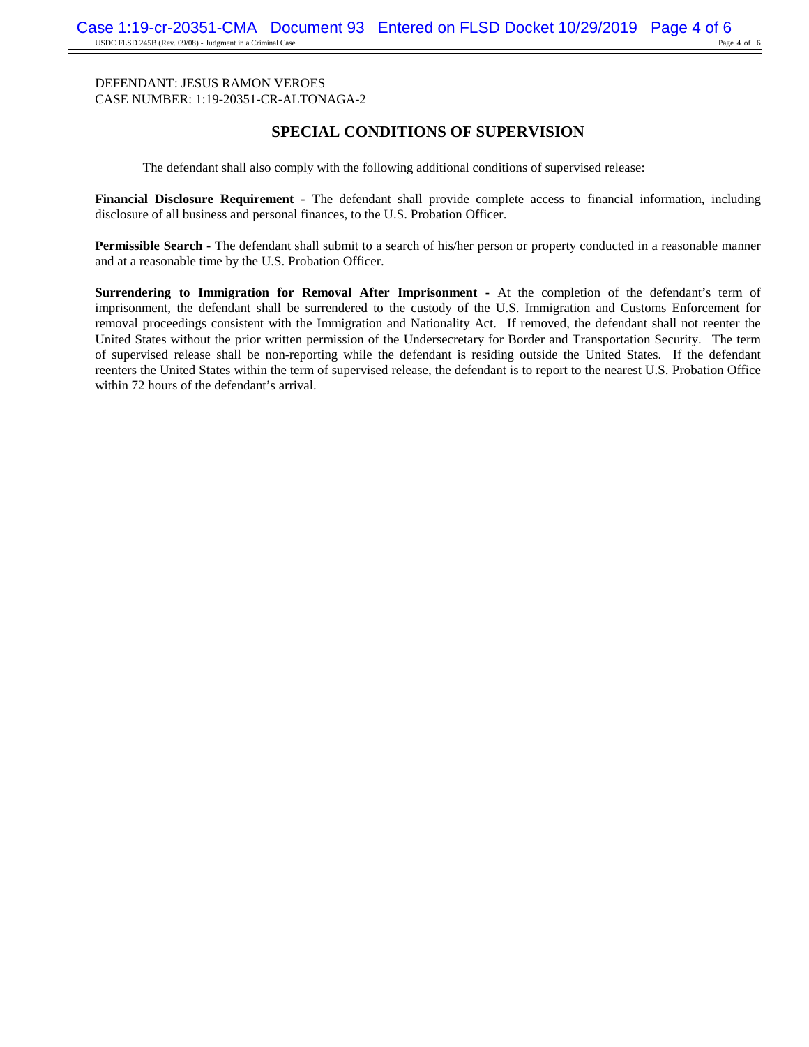## **SPECIAL CONDITIONS OF SUPERVISION**

The defendant shall also comply with the following additional conditions of supervised release:

**Financial Disclosure Requirement -** The defendant shall provide complete access to financial information, including disclosure of all business and personal finances, to the U.S. Probation Officer.

**Permissible Search -** The defendant shall submit to a search of his/her person or property conducted in a reasonable manner and at a reasonable time by the U.S. Probation Officer.

**Surrendering to Immigration for Removal After Imprisonment -** At the completion of the defendant's term of imprisonment, the defendant shall be surrendered to the custody of the U.S. Immigration and Customs Enforcement for removal proceedings consistent with the Immigration and Nationality Act. If removed, the defendant shall not reenter the United States without the prior written permission of the Undersecretary for Border and Transportation Security. The term of supervised release shall be non-reporting while the defendant is residing outside the United States. If the defendant reenters the United States within the term of supervised release, the defendant is to report to the nearest U.S. Probation Office within 72 hours of the defendant's arrival.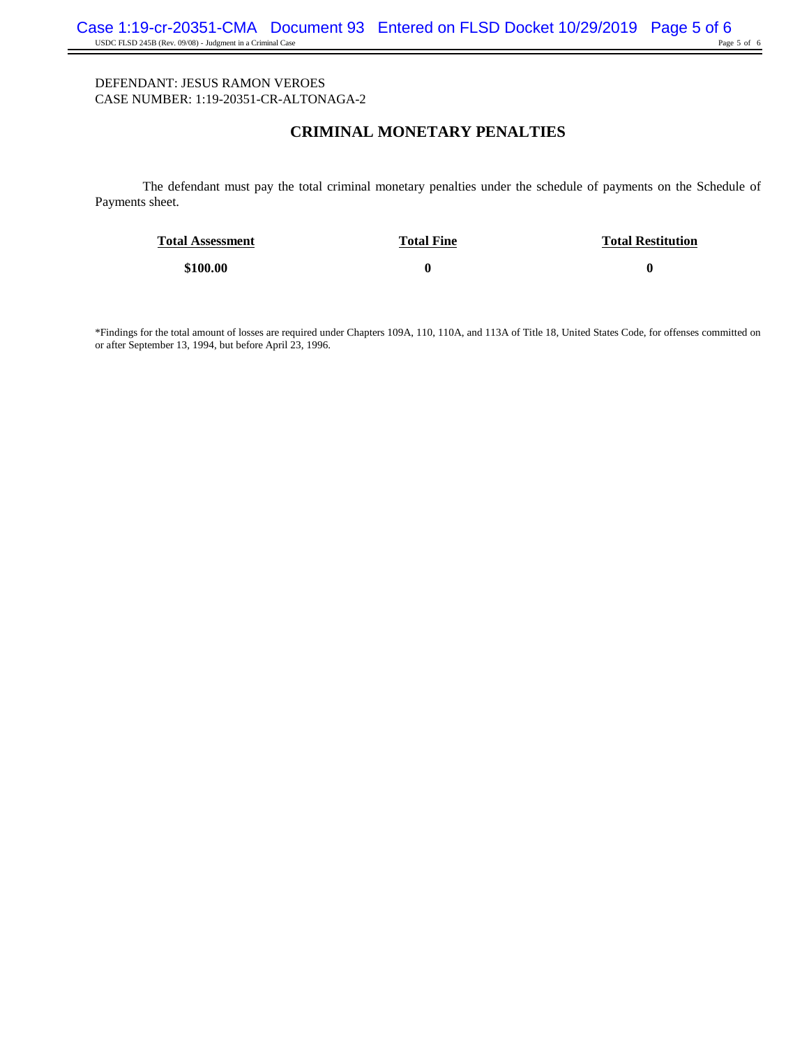## **CRIMINAL MONETARY PENALTIES**

The defendant must pay the total criminal monetary penalties under the schedule of payments on the Schedule of Payments sheet.

| <b>Total Assessment</b> | <b>Total Fine</b> | <b>Total Restitution</b> |
|-------------------------|-------------------|--------------------------|
| \$100.00                |                   |                          |

\*Findings for the total amount of losses are required under Chapters 109A, 110, 110A, and 113A of Title 18, United States Code, for offenses committed on or after September 13, 1994, but before April 23, 1996.